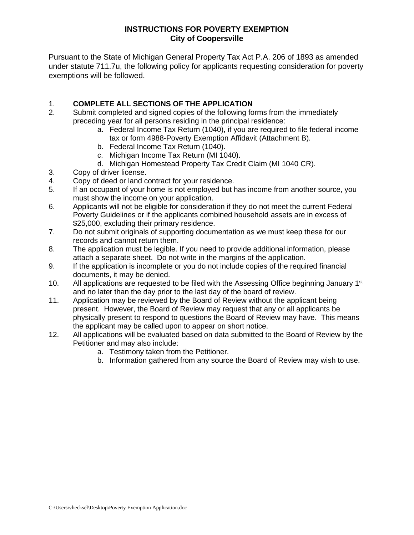### **INSTRUCTIONS FOR POVERTY EXEMPTION City of Coopersville**

Pursuant to the State of Michigan General Property Tax Act P.A. 206 of 1893 as amended under statute 711.7u, the following policy for applicants requesting consideration for poverty exemptions will be followed.

## 1. **COMPLETE ALL SECTIONS OF THE APPLICATION**

- 2. Submit completed and signed copies of the following forms from the immediately preceding year for all persons residing in the principal residence:
	- a. Federal Income Tax Return (1040), if you are required to file federal income tax or form 4988-Poverty Exemption Affidavit (Attachment B).
	- b. Federal Income Tax Return (1040).
	- c. Michigan Income Tax Return (MI 1040).
	- d. Michigan Homestead Property Tax Credit Claim (MI 1040 CR).
- 3. Copy of driver license.
- 4. Copy of deed or land contract for your residence.
- 5. If an occupant of your home is not employed but has income from another source, you must show the income on your application.
- 6. Applicants will not be eligible for consideration if they do not meet the current Federal Poverty Guidelines or if the applicants combined household assets are in excess of \$25,000, excluding their primary residence.
- 7. Do not submit originals of supporting documentation as we must keep these for our records and cannot return them.
- 8. The application must be legible. If you need to provide additional information, please attach a separate sheet. Do not write in the margins of the application.
- 9. If the application is incomplete or you do not include copies of the required financial documents, it may be denied.
- 10. All applications are requested to be filed with the Assessing Office beginning January 1<sup>st</sup> and no later than the day prior to the last day of the board of review.
- 11. Application may be reviewed by the Board of Review without the applicant being present. However, the Board of Review may request that any or all applicants be physically present to respond to questions the Board of Review may have. This means the applicant may be called upon to appear on short notice.
- 12. All applications will be evaluated based on data submitted to the Board of Review by the Petitioner and may also include:
	- a. Testimony taken from the Petitioner.
	- b. Information gathered from any source the Board of Review may wish to use.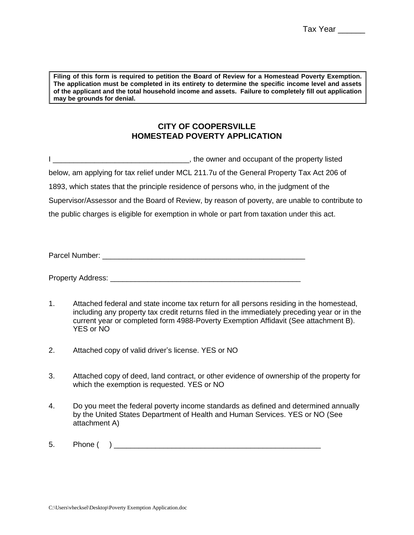**Filing of this form is required to petition the Board of Review for a Homestead Poverty Exemption. The application must be completed in its entirety to determine the specific income level and assets of the applicant and the total household income and assets. Failure to completely fill out application may be grounds for denial.**

## **CITY OF COOPERSVILLE HOMESTEAD POVERTY APPLICATION**

I \_\_\_\_\_\_\_\_\_\_\_\_\_\_\_\_\_\_\_\_\_\_\_\_\_\_\_\_\_\_\_\_\_, the owner and occupant of the property listed below, am applying for tax relief under MCL 211.7u of the General Property Tax Act 206 of 1893, which states that the principle residence of persons who, in the judgment of the Supervisor/Assessor and the Board of Review, by reason of poverty, are unable to contribute to the public charges is eligible for exemption in whole or part from taxation under this act.

Parcel Number: \_\_\_\_\_\_\_\_\_\_\_\_\_\_\_\_\_\_\_\_\_\_\_\_\_\_\_\_\_\_\_\_\_\_\_\_\_\_\_\_\_\_\_\_\_\_\_\_\_

Property Address: \_\_\_\_\_\_\_\_\_\_\_\_\_\_\_\_\_\_\_\_\_\_\_\_\_\_\_\_\_\_\_\_\_\_\_\_\_\_\_\_\_\_\_\_\_\_

- 1. Attached federal and state income tax return for all persons residing in the homestead, including any property tax credit returns filed in the immediately preceding year or in the current year or completed form 4988-Poverty Exemption Affidavit (See attachment B). YES or NO
- 2. Attached copy of valid driver's license. YES or NO
- 3. Attached copy of deed, land contract, or other evidence of ownership of the property for which the exemption is requested. YES or NO
- 4. Do you meet the federal poverty income standards as defined and determined annually by the United States Department of Health and Human Services. YES or NO (See attachment A)
- $5.$  Phone ( )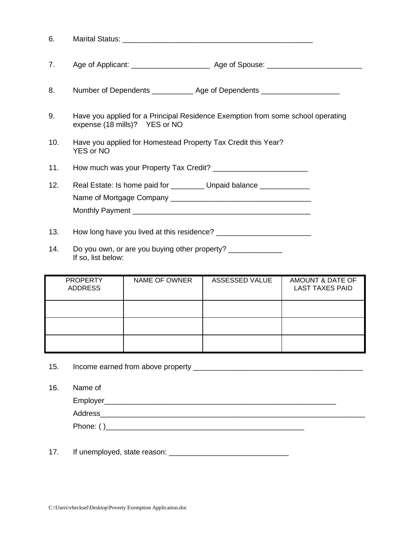| 6.  |                                                                                                                  |
|-----|------------------------------------------------------------------------------------------------------------------|
| 7.  |                                                                                                                  |
| 8.  | Number of Dependents ______________ Age of Dependents __________________________                                 |
| 9.  | Have you applied for a Principal Residence Exemption from some school operating<br>expense (18 mills)? YES or NO |
| 10. | Have you applied for Homestead Property Tax Credit this Year?<br><b>YES or NO</b>                                |
| 11. |                                                                                                                  |
| 12. | Real Estate: Is home paid for _________ Unpaid balance ____________                                              |
| 13. |                                                                                                                  |

14. Do you own, or are you buying other property? \_\_\_\_\_\_\_\_\_\_\_\_\_\_ If so, list below:

| <b>PROPERTY</b><br><b>ADDRESS</b> | NAME OF OWNER | ASSESSED VALUE | AMOUNT & DATE OF<br><b>LAST TAXES PAID</b> |
|-----------------------------------|---------------|----------------|--------------------------------------------|
|                                   |               |                |                                            |
|                                   |               |                |                                            |
|                                   |               |                |                                            |

15. Income earned from above property \_\_\_\_\_\_\_\_\_\_\_\_\_\_\_\_\_\_\_\_\_\_\_\_\_\_\_\_\_\_\_\_\_\_\_\_\_\_\_\_\_

16. Name of

Employer\_\_\_\_\_\_\_\_\_\_\_\_\_\_\_\_\_\_\_\_\_\_\_\_\_\_\_\_\_\_\_\_\_\_\_\_\_\_\_\_\_\_\_\_\_\_\_\_\_\_\_\_\_\_\_\_

Address

Phone: ( )\_\_\_\_\_\_\_\_\_\_\_\_\_\_\_\_\_\_\_\_\_\_\_\_\_\_\_\_\_\_\_\_\_\_\_\_\_\_\_\_\_\_\_\_\_\_\_\_

17. If unemployed, state reason: \_\_\_\_\_\_\_\_\_\_\_\_\_\_\_\_\_\_\_\_\_\_\_\_\_\_\_\_\_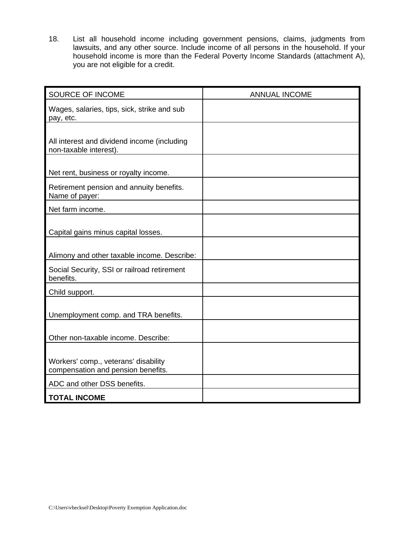18. List all household income including government pensions, claims, judgments from lawsuits, and any other source. Include income of all persons in the household. If your household income is more than the Federal Poverty Income Standards (attachment A), you are not eligible for a credit.

| SOURCE OF INCOME                                                           | <b>ANNUAL INCOME</b> |
|----------------------------------------------------------------------------|----------------------|
| Wages, salaries, tips, sick, strike and sub<br>pay, etc.                   |                      |
| All interest and dividend income (including<br>non-taxable interest).      |                      |
| Net rent, business or royalty income.                                      |                      |
| Retirement pension and annuity benefits.<br>Name of payer:                 |                      |
| Net farm income.                                                           |                      |
| Capital gains minus capital losses.                                        |                      |
| Alimony and other taxable income. Describe:                                |                      |
| Social Security, SSI or railroad retirement<br>benefits.                   |                      |
| Child support.                                                             |                      |
| Unemployment comp. and TRA benefits.                                       |                      |
| Other non-taxable income. Describe:                                        |                      |
| Workers' comp., veterans' disability<br>compensation and pension benefits. |                      |
| ADC and other DSS benefits.                                                |                      |
| <b>TOTAL INCOME</b>                                                        |                      |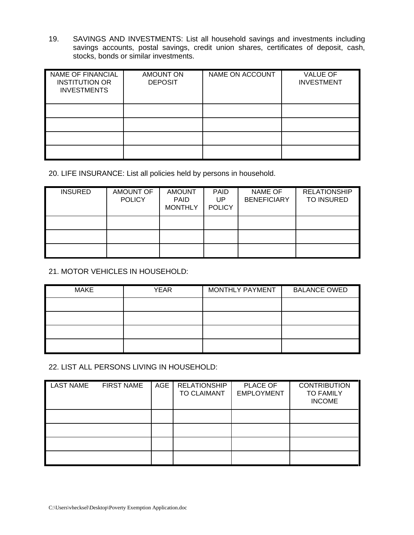19. SAVINGS AND INVESTMENTS: List all household savings and investments including savings accounts, postal savings, credit union shares, certificates of deposit, cash, stocks, bonds or similar investments.

| <b>NAME OF FINANCIAL</b><br><b>INSTITUTION OR</b><br><b>INVESTMENTS</b> | <b>AMOUNT ON</b><br><b>DEPOSIT</b> | NAME ON ACCOUNT | <b>VALUE OF</b><br><b>INVESTMENT</b> |
|-------------------------------------------------------------------------|------------------------------------|-----------------|--------------------------------------|
|                                                                         |                                    |                 |                                      |
|                                                                         |                                    |                 |                                      |
|                                                                         |                                    |                 |                                      |
|                                                                         |                                    |                 |                                      |

20. LIFE INSURANCE: List all policies held by persons in household.

| <b>INSURED</b> | AMOUNT OF<br><b>POLICY</b> | <b>AMOUNT</b><br><b>PAID</b><br><b>MONTHLY</b> | <b>PAID</b><br>UP<br><b>POLICY</b> | NAME OF<br><b>BENEFICIARY</b> | <b>RELATIONSHIP</b><br><b>TO INSURED</b> |
|----------------|----------------------------|------------------------------------------------|------------------------------------|-------------------------------|------------------------------------------|
|                |                            |                                                |                                    |                               |                                          |
|                |                            |                                                |                                    |                               |                                          |
|                |                            |                                                |                                    |                               |                                          |

## 21. MOTOR VEHICLES IN HOUSEHOLD:

| <b>MAKE</b> | <b>YEAR</b> | MONTHLY PAYMENT | <b>BALANCE OWED</b> |
|-------------|-------------|-----------------|---------------------|
|             |             |                 |                     |
|             |             |                 |                     |
|             |             |                 |                     |
|             |             |                 |                     |

22. LIST ALL PERSONS LIVING IN HOUSEHOLD:

| <b>LAST NAME</b> | <b>FIRST NAME</b> | AGE | <b>RELATIONSHIP</b><br>TO CLAIMANT | PLACE OF<br><b>EMPLOYMENT</b> | <b>CONTRIBUTION</b><br><b>TO FAMILY</b><br><b>INCOME</b> |
|------------------|-------------------|-----|------------------------------------|-------------------------------|----------------------------------------------------------|
|                  |                   |     |                                    |                               |                                                          |
|                  |                   |     |                                    |                               |                                                          |
|                  |                   |     |                                    |                               |                                                          |
|                  |                   |     |                                    |                               |                                                          |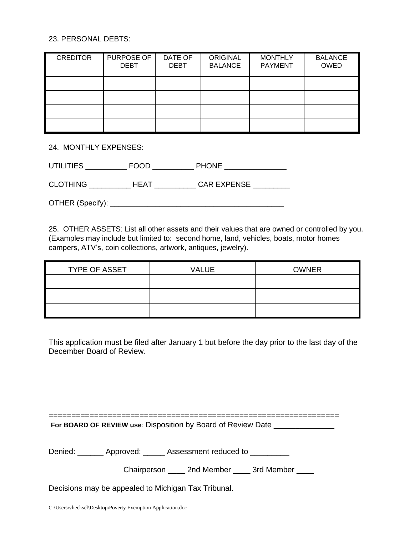#### 23. PERSONAL DEBTS:

| <b>CREDITOR</b> | PURPOSE OF<br><b>DEBT</b> | DATE OF<br><b>DEBT</b> | ORIGINAL<br><b>BALANCE</b> | <b>MONTHLY</b><br><b>PAYMENT</b> | <b>BALANCE</b><br><b>OWED</b> |
|-----------------|---------------------------|------------------------|----------------------------|----------------------------------|-------------------------------|
|                 |                           |                        |                            |                                  |                               |
|                 |                           |                        |                            |                                  |                               |
|                 |                           |                        |                            |                                  |                               |
|                 |                           |                        |                            |                                  |                               |

24. MONTHLY EXPENSES:

| — —<br>UTILITIE | חממ= | <b>PHONE</b> |
|-----------------|------|--------------|
|-----------------|------|--------------|

CLOTHING \_\_\_\_\_\_\_\_\_\_ HEAT \_\_\_\_\_\_\_\_\_\_ CAR EXPENSE \_\_\_\_\_\_\_\_\_

OTHER (Specify): \_\_\_\_\_\_\_\_\_\_\_\_\_\_\_\_\_\_\_\_\_\_\_\_\_\_\_\_\_\_\_\_\_\_\_\_\_\_\_\_\_\_

25. OTHER ASSETS: List all other assets and their values that are owned or controlled by you. (Examples may include but limited to: second home, land, vehicles, boats, motor homes campers, ATV's, coin collections, artwork, antiques, jewelry).

| TYPE OF ASSET | VALUE | <b>OWNER</b> |
|---------------|-------|--------------|
|               |       |              |
|               |       |              |
|               |       |              |

This application must be filed after January 1 but before the day prior to the last day of the December Board of Review.

| For BOARD OF REVIEW use: Disposition by Board of Review Date |  |
|--------------------------------------------------------------|--|

Denied: \_\_\_\_\_\_\_ Approved: \_\_\_\_\_ Assessment reduced to \_\_\_\_\_\_\_\_\_

| Chairperson | 2nd Member | 3rd Member |
|-------------|------------|------------|
|-------------|------------|------------|

Decisions may be appealed to Michigan Tax Tribunal.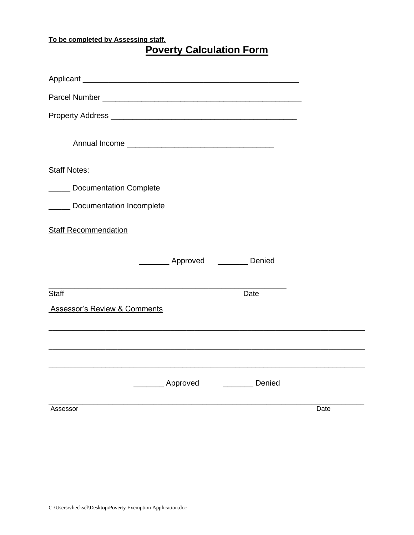## **To be completed by Assessing staff.**

| <b>Poverty Calculation Form</b> |
|---------------------------------|
|---------------------------------|

| Parcel Number <b>Communication</b> Communication and Communication Communication Communication Communication |                                                                                                                      |        |      |
|--------------------------------------------------------------------------------------------------------------|----------------------------------------------------------------------------------------------------------------------|--------|------|
|                                                                                                              |                                                                                                                      |        |      |
|                                                                                                              |                                                                                                                      |        |      |
| <b>Staff Notes:</b>                                                                                          |                                                                                                                      |        |      |
| ______ Documentation Complete                                                                                |                                                                                                                      |        |      |
| ______ Documentation Incomplete                                                                              |                                                                                                                      |        |      |
| <b>Staff Recommendation</b>                                                                                  |                                                                                                                      |        |      |
|                                                                                                              | __________ Approved __________ Denied                                                                                |        |      |
| <b>Staff</b>                                                                                                 | <u> 1989 - Johann Stein, marwolaethau a bhann an t-Amhair an t-Amhair an t-Amhair an t-Amhair an t-Amhair an t-A</u> | Date   |      |
| <b>Assessor's Review &amp; Comments</b>                                                                      |                                                                                                                      |        |      |
|                                                                                                              |                                                                                                                      |        |      |
|                                                                                                              |                                                                                                                      |        |      |
|                                                                                                              | Approved                                                                                                             | Denied |      |
| Assessor                                                                                                     |                                                                                                                      |        | Date |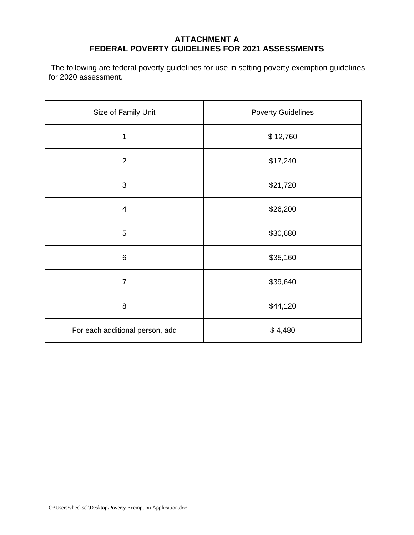## **ATTACHMENT A FEDERAL POVERTY GUIDELINES FOR 2021 ASSESSMENTS**

The following are federal poverty guidelines for use in setting poverty exemption guidelines for 2020 assessment.

| Size of Family Unit             | <b>Poverty Guidelines</b> |  |
|---------------------------------|---------------------------|--|
| 1                               | \$12,760                  |  |
| $\overline{2}$                  | \$17,240                  |  |
| 3                               | \$21,720                  |  |
| $\overline{\mathbf{4}}$         | \$26,200                  |  |
| $\sqrt{5}$                      | \$30,680                  |  |
| $6\phantom{1}$                  | \$35,160                  |  |
| $\overline{7}$                  | \$39,640                  |  |
| 8                               | \$44,120                  |  |
| For each additional person, add | \$4,480                   |  |